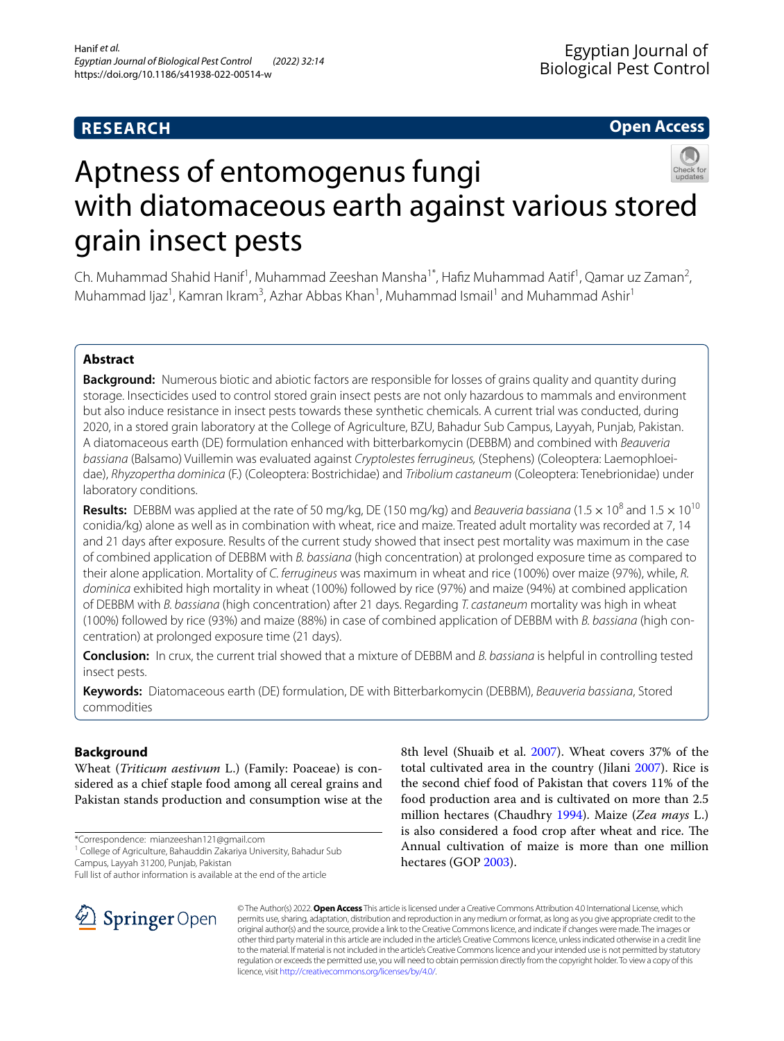# **RESEARCH**

# **Open Access**



# Aptness of entomogenus fungi with diatomaceous earth against various stored grain insect pests

Ch. Muhammad Shahid Hanif<sup>1</sup>, Muhammad Zeeshan Mansha<sup>1\*</sup>, Hafiz Muhammad Aatif<sup>1</sup>, Qamar uz Zaman<sup>2</sup>, Muhammad Ijaz<sup>1</sup>, Kamran Ikram<sup>3</sup>, Azhar Abbas Khan<sup>1</sup>, Muhammad Ismail<sup>1</sup> and Muhammad Ashir<sup>1</sup>

# **Abstract**

**Background:** Numerous biotic and abiotic factors are responsible for losses of grains quality and quantity during storage. Insecticides used to control stored grain insect pests are not only hazardous to mammals and environment but also induce resistance in insect pests towards these synthetic chemicals. A current trial was conducted, during 2020, in a stored grain laboratory at the College of Agriculture, BZU, Bahadur Sub Campus, Layyah, Punjab, Pakistan. A diatomaceous earth (DE) formulation enhanced with bitterbarkomycin (DEBBM) and combined with *Beauveria bassiana* (Balsamo) Vuillemin was evaluated against *Cryptolestes ferrugineus,* (Stephens) (Coleoptera: Laemophloeidae), *Rhyzopertha dominica* (F.) (Coleoptera: Bostrichidae) and *Tribolium castaneum* (Coleoptera: Tenebrionidae) under laboratory conditions.

**Results:** DEBBM was applied at the rate of 50 mg/kg, DE (150 mg/kg) and *Beauveria bassiana* (1.5  $\times$  10<sup>8</sup> and 1.5  $\times$  10<sup>10</sup> conidia/kg) alone as well as in combination with wheat, rice and maize. Treated adult mortality was recorded at 7, 14 and 21 days after exposure. Results of the current study showed that insect pest mortality was maximum in the case of combined application of DEBBM with *B. bassiana* (high concentration) at prolonged exposure time as compared to their alone application. Mortality of *C. ferrugineus* was maximum in wheat and rice (100%) over maize (97%), while, *R. dominica* exhibited high mortality in wheat (100%) followed by rice (97%) and maize (94%) at combined application of DEBBM with *B. bassiana* (high concentration) after 21 days. Regarding *T. castaneum* mortality was high in wheat (100%) followed by rice (93%) and maize (88%) in case of combined application of DEBBM with *B. bassiana* (high concentration) at prolonged exposure time (21 days).

**Conclusion:** In crux, the current trial showed that a mixture of DEBBM and *B. bassiana* is helpful in controlling tested insect pests.

**Keywords:** Diatomaceous earth (DE) formulation, DE with Bitterbarkomycin (DEBBM), *Beauveria bassiana*, Stored commodities

# **Background**

Wheat (*Triticum aestivum* L.) (Family: Poaceae) is considered as a chief staple food among all cereal grains and Pakistan stands production and consumption wise at the

\*Correspondence: mianzeeshan121@gmail.com

<sup>1</sup> College of Agriculture, Bahauddin Zakariya University, Bahadur Sub Campus, Layyah 31200, Punjab, Pakistan

Full list of author information is available at the end of the article



8th level (Shuaib et al. [2007](#page-5-0)). Wheat covers 37% of the total cultivated area in the country (Jilani [2007](#page-5-1)). Rice is the second chief food of Pakistan that covers 11% of the food production area and is cultivated on more than 2.5 million hectares (Chaudhry [1994\)](#page-5-2). Maize (*Zea mays* L.) is also considered a food crop after wheat and rice. The Annual cultivation of maize is more than one million hectares (GOP [2003](#page-5-3)).

© The Author(s) 2022. **Open Access** This article is licensed under a Creative Commons Attribution 4.0 International License, which permits use, sharing, adaptation, distribution and reproduction in any medium or format, as long as you give appropriate credit to the original author(s) and the source, provide a link to the Creative Commons licence, and indicate if changes were made. The images or other third party material in this article are included in the article's Creative Commons licence, unless indicated otherwise in a credit line to the material. If material is not included in the article's Creative Commons licence and your intended use is not permitted by statutory regulation or exceeds the permitted use, you will need to obtain permission directly from the copyright holder. To view a copy of this licence, visit [http://creativecommons.org/licenses/by/4.0/.](http://creativecommons.org/licenses/by/4.0/)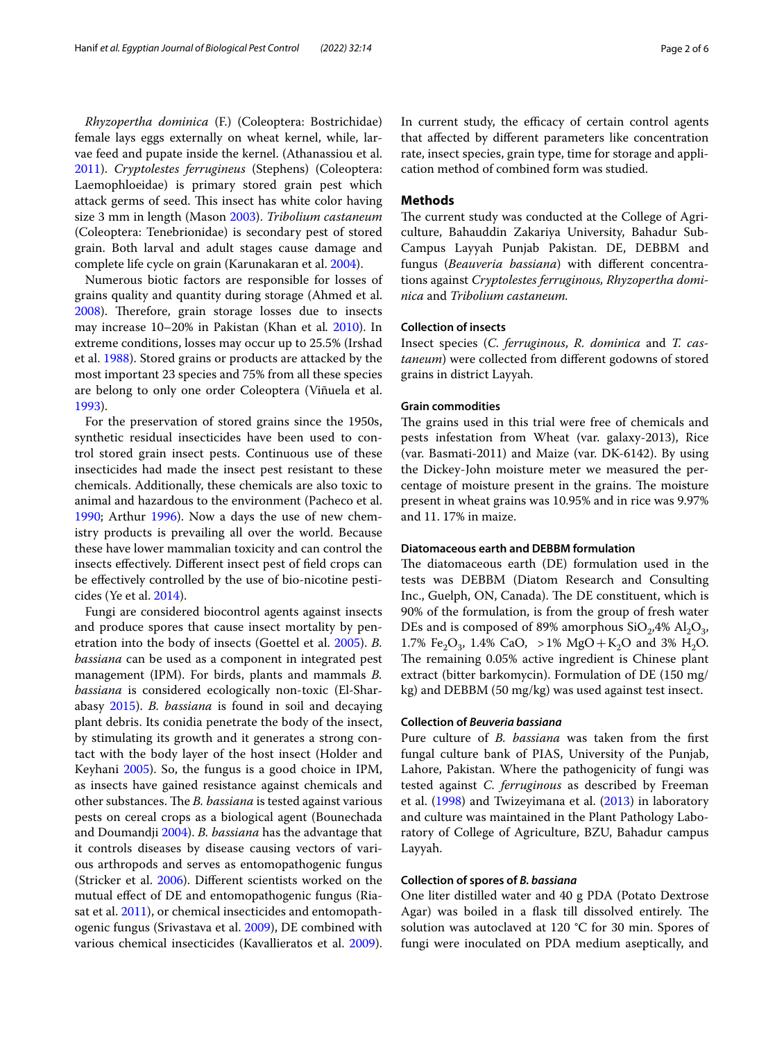*Rhyzopertha dominica* (F.) (Coleoptera: Bostrichidae) female lays eggs externally on wheat kernel, while, larvae feed and pupate inside the kernel. (Athanassiou et al. [2011](#page-4-0)). *Cryptolestes ferrugineus* (Stephens) (Coleoptera: Laemophloeidae) is primary stored grain pest which attack germs of seed. This insect has white color having size 3 mm in length (Mason [2003](#page-5-4)). *Tribolium castaneum* (Coleoptera: Tenebrionidae) is secondary pest of stored grain. Both larval and adult stages cause damage and complete life cycle on grain (Karunakaran et al. [2004\)](#page-5-5).

Numerous biotic factors are responsible for losses of grains quality and quantity during storage (Ahmed et al. [2008](#page-4-1)). Therefore, grain storage losses due to insects may increase 10–20% in Pakistan (Khan et al*.* [2010\)](#page-5-6). In extreme conditions, losses may occur up to 25.5% (Irshad et al. [1988](#page-5-7)). Stored grains or products are attacked by the most important 23 species and 75% from all these species are belong to only one order Coleoptera (Viñuela et al. [1993](#page-5-8)).

For the preservation of stored grains since the 1950s, synthetic residual insecticides have been used to control stored grain insect pests. Continuous use of these insecticides had made the insect pest resistant to these chemicals. Additionally, these chemicals are also toxic to animal and hazardous to the environment (Pacheco et al. [1990](#page-5-9); Arthur [1996](#page-4-2)). Now a days the use of new chemistry products is prevailing all over the world. Because these have lower mammalian toxicity and can control the insects efectively. Diferent insect pest of feld crops can be efectively controlled by the use of bio-nicotine pesticides (Ye et al. [2014\)](#page-5-10).

Fungi are considered biocontrol agents against insects and produce spores that cause insect mortality by penetration into the body of insects (Goettel et al. [2005\)](#page-5-11). *B. bassiana* can be used as a component in integrated pest management (IPM). For birds, plants and mammals *B. bassiana* is considered ecologically non-toxic (El-Sharabasy [2015](#page-5-12)). *B. bassiana* is found in soil and decaying plant debris. Its conidia penetrate the body of the insect, by stimulating its growth and it generates a strong contact with the body layer of the host insect (Holder and Keyhani [2005\)](#page-5-13). So, the fungus is a good choice in IPM, as insects have gained resistance against chemicals and other substances. The *B. bassiana* is tested against various pests on cereal crops as a biological agent (Bounechada and Doumandji [2004\)](#page-5-14). *B. bassiana* has the advantage that it controls diseases by disease causing vectors of various arthropods and serves as entomopathogenic fungus (Stricker et al. [2006](#page-5-15)). Diferent scientists worked on the mutual efect of DE and entomopathogenic fungus (Ria-sat et al. [2011\)](#page-5-16), or chemical insecticides and entomopathogenic fungus (Srivastava et al. [2009\)](#page-5-17), DE combined with various chemical insecticides (Kavallieratos et al. [2009](#page-5-18)).

In current study, the efficacy of certain control agents that afected by diferent parameters like concentration rate, insect species, grain type, time for storage and application method of combined form was studied.

# **Methods**

The current study was conducted at the College of Agriculture, Bahauddin Zakariya University, Bahadur Sub-Campus Layyah Punjab Pakistan. DE, DEBBM and fungus (*Beauveria bassiana*) with diferent concentrations against *Cryptolestes ferruginous, Rhyzopertha dominica* and *Tribolium castaneum.*

# **Collection of insects**

Insect species (*C. ferruginous*, *R. dominica* and *T. castaneum*) were collected from diferent godowns of stored grains in district Layyah.

# **Grain commodities**

The grains used in this trial were free of chemicals and pests infestation from Wheat (var. galaxy-2013), Rice (var. Basmati-2011) and Maize (var. DK-6142). By using the Dickey-John moisture meter we measured the percentage of moisture present in the grains. The moisture present in wheat grains was 10.95% and in rice was 9.97% and 11. 17% in maize.

# **Diatomaceous earth and DEBBM formulation**

The diatomaceous earth (DE) formulation used in the tests was DEBBM (Diatom Research and Consulting Inc., Guelph, ON, Canada). The DE constituent, which is 90% of the formulation, is from the group of fresh water DEs and is composed of 89% amorphous  $SiO<sub>2</sub>,4% Al<sub>2</sub>O<sub>3</sub>$ , 1.7% Fe<sub>2</sub>O<sub>3</sub>, 1.4% CaO, >1% MgO + K<sub>2</sub>O and 3% H<sub>2</sub>O. The remaining 0.05% active ingredient is Chinese plant extract (bitter barkomycin). Formulation of DE (150 mg/ kg) and DEBBM (50 mg/kg) was used against test insect.

# **Collection of** *Beuveria bassiana*

Pure culture of *B. bassiana* was taken from the frst fungal culture bank of PIAS, University of the Punjab, Lahore, Pakistan. Where the pathogenicity of fungi was tested against *C. ferruginous* as described by Freeman et al. [\(1998\)](#page-5-19) and Twizeyimana et al. [\(2013\)](#page-5-20) in laboratory and culture was maintained in the Plant Pathology Laboratory of College of Agriculture, BZU, Bahadur campus Layyah.

# **Collection of spores of** *B. bassiana*

One liter distilled water and 40 g PDA (Potato Dextrose Agar) was boiled in a flask till dissolved entirely. The solution was autoclaved at 120 °C for 30 min. Spores of fungi were inoculated on PDA medium aseptically, and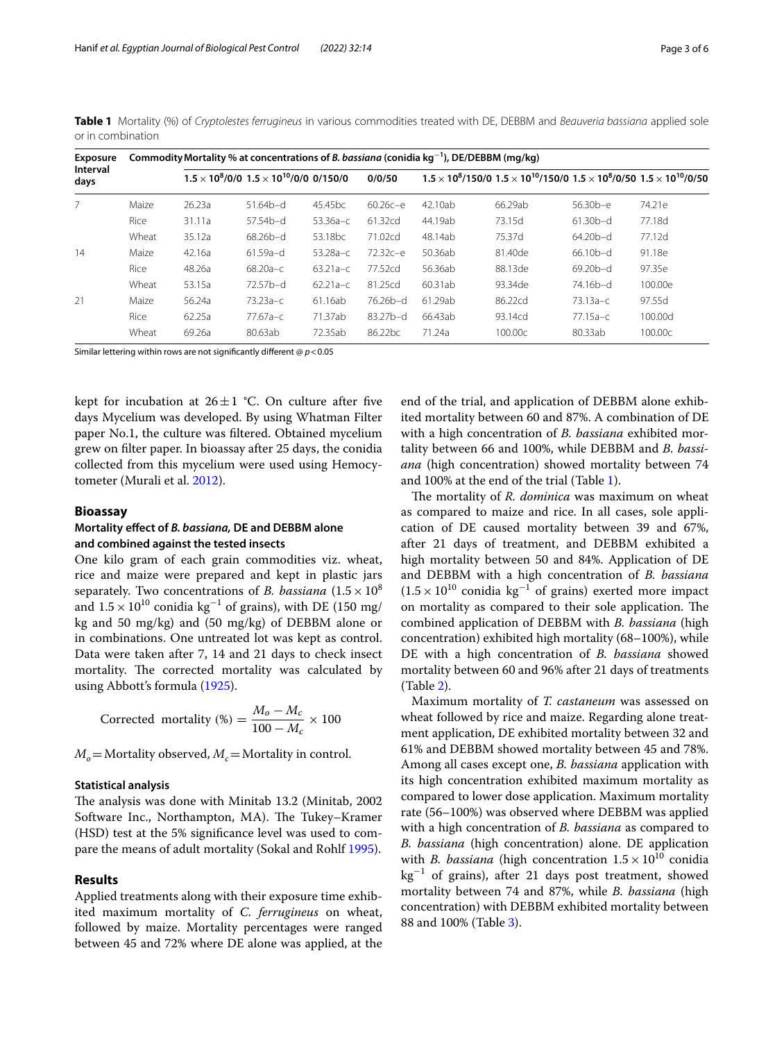| <b>Exposure</b><br>Interval<br>days |       |        | Commodity Mortality % at concentrations of <i>B. bassiana</i> (conidia $kg^{-1}$ ), DE/DEBBM (mg/kg) |                     |                     |         |                                                                                                         |            |         |  |  |
|-------------------------------------|-------|--------|------------------------------------------------------------------------------------------------------|---------------------|---------------------|---------|---------------------------------------------------------------------------------------------------------|------------|---------|--|--|
|                                     |       |        | $1.5 \times 10^8 / 0 / 0$ $1.5 \times 10^{10} / 0 / 0$ 0/150/0                                       |                     | 0/0/50              |         | $1.5 \times 10^{8}/150/0$ $1.5 \times 10^{10}/150/0$ $1.5 \times 10^{8}/0/50$ $1.5 \times 10^{10}/0/50$ |            |         |  |  |
| 7                                   | Maize | 26.23a | $51.64b-d$                                                                                           | 45.45 <sub>bc</sub> | $60.26c - e$        | 42.10ab | 66.29ab                                                                                                 | $56.30b-e$ | 74.21e  |  |  |
|                                     | Rice  | 31.11a | $57.54b-d$                                                                                           | $53.36a - c$        | 61.32cd             | 44.19ab | 73.15d                                                                                                  | $61.30b-d$ | 77.18d  |  |  |
|                                     | Wheat | 35.12a | $68.26b-d$                                                                                           | 53.18 <sub>bc</sub> | 71.02cd             | 48.14ab | 75.37d                                                                                                  | $64.20b-d$ | 77.12d  |  |  |
| 14                                  | Maize | 42.16a | $61.59a-d$                                                                                           | $53.28a - c$        | $72.32c - e$        | 50.36ab | 81.40de                                                                                                 | $66.10b-d$ | 91.18e  |  |  |
|                                     | Rice  | 48.26a | $68.20a - c$                                                                                         | $63.21a-c$          | 77.52cd             | 56.36ab | 88.13de                                                                                                 | $69.20b-d$ | 97.35e  |  |  |
|                                     | Wheat | 53.15a | $72.57b-d$                                                                                           | $62.21a-c$          | 81.25cd             | 60.31ab | 93.34de                                                                                                 | 74.16b-d   | 100.00e |  |  |
| 21                                  | Maize | 56.24a | $73.23a-c$                                                                                           | 61.16ab             | 76.26b-d            | 61.29ab | 86.22cd                                                                                                 | $73.13a-c$ | 97.55d  |  |  |
|                                     | Rice  | 62.25a | $77.67a-c$                                                                                           | 71.37ab             | $83.27b-d$          | 66.43ab | 93.14cd                                                                                                 | $77.15a-c$ | 100.00d |  |  |
|                                     | Wheat | 69.26a | 80.63ab                                                                                              | 72.35ab             | 86.22 <sub>bc</sub> | 71.24a  | 100.00c                                                                                                 | 80.33ab    | 100.00c |  |  |

<span id="page-2-0"></span>**Table 1** Mortality (%) of *Cryptolestes ferrugineus* in various commodities treated with DE, DEBBM and *Beauveria bassiana* applied sole or in combination

Similar lettering within rows are not signifcantly diferent @ *p*<0.05

kept for incubation at  $26 \pm 1$  °C. On culture after five days Mycelium was developed. By using Whatman Filter paper No.1, the culture was fltered. Obtained mycelium grew on flter paper. In bioassay after 25 days, the conidia collected from this mycelium were used using Hemocytometer (Murali et al. [2012\)](#page-5-21).

## **Bioassay**

# **Mortality efect of** *B. bassiana,* **DE and DEBBM alone and combined against the tested insects**

One kilo gram of each grain commodities viz. wheat, rice and maize were prepared and kept in plastic jars separately. Two concentrations of *B. bassiana*  $(1.5 \times 10^8)$ and  $1.5 \times 10^{10}$  conidia kg<sup>-1</sup> of grains), with DE (150 mg/ kg and 50 mg/kg) and (50 mg/kg) of DEBBM alone or in combinations. One untreated lot was kept as control. Data were taken after 7, 14 and 21 days to check insect mortality. The corrected mortality was calculated by using Abbott's formula [\(1925\)](#page-4-3).

Corrected mortality (%) = 
$$
\frac{M_o - M_c}{100 - M_c} \times 100
$$

 $M<sub>o</sub>$ =Mortality observed,  $M<sub>c</sub>$ =Mortality in control.

# **Statistical analysis**

The analysis was done with Minitab 13.2 (Minitab, 2002) Software Inc., Northampton, MA). The Tukey-Kramer (HSD) test at the 5% signifcance level was used to compare the means of adult mortality (Sokal and Rohlf [1995](#page-5-22)).

# **Results**

Applied treatments along with their exposure time exhibited maximum mortality of *C. ferrugineus* on wheat, followed by maize. Mortality percentages were ranged between 45 and 72% where DE alone was applied, at the

end of the trial, and application of DEBBM alone exhibited mortality between 60 and 87%. A combination of DE with a high concentration of *B. bassiana* exhibited mortality between 66 and 100%, while DEBBM and *B. bassiana* (high concentration) showed mortality between 74 and 100% at the end of the trial (Table [1\)](#page-2-0).

The mortality of *R. dominica* was maximum on wheat as compared to maize and rice. In all cases, sole application of DE caused mortality between 39 and 67%, after 21 days of treatment, and DEBBM exhibited a high mortality between 50 and 84%. Application of DE and DEBBM with a high concentration of *B. bassiana*  $(1.5 \times 10^{10} \text{ conidia kg}^{-1} \text{ of grains})$  exerted more impact on mortality as compared to their sole application. The combined application of DEBBM with *B. bassiana* (high concentration) exhibited high mortality (68–100%), while DE with a high concentration of *B. bassiana* showed mortality between 60 and 96% after 21 days of treatments (Table [2\)](#page-3-0).

Maximum mortality of *T. castaneum* was assessed on wheat followed by rice and maize. Regarding alone treatment application, DE exhibited mortality between 32 and 61% and DEBBM showed mortality between 45 and 78%. Among all cases except one, *B. bassiana* application with its high concentration exhibited maximum mortality as compared to lower dose application. Maximum mortality rate (56–100%) was observed where DEBBM was applied with a high concentration of *B. bassiana* as compared to *B. bassiana* (high concentration) alone. DE application with *B. bassiana* (high concentration  $1.5 \times 10^{10}$  conidia kg<sup>−</sup><sup>1</sup> of grains), after 21 days post treatment, showed mortality between 74 and 87%, while *B. bassiana* (high concentration) with DEBBM exhibited mortality between 88 and 100% (Table [3](#page-3-1)).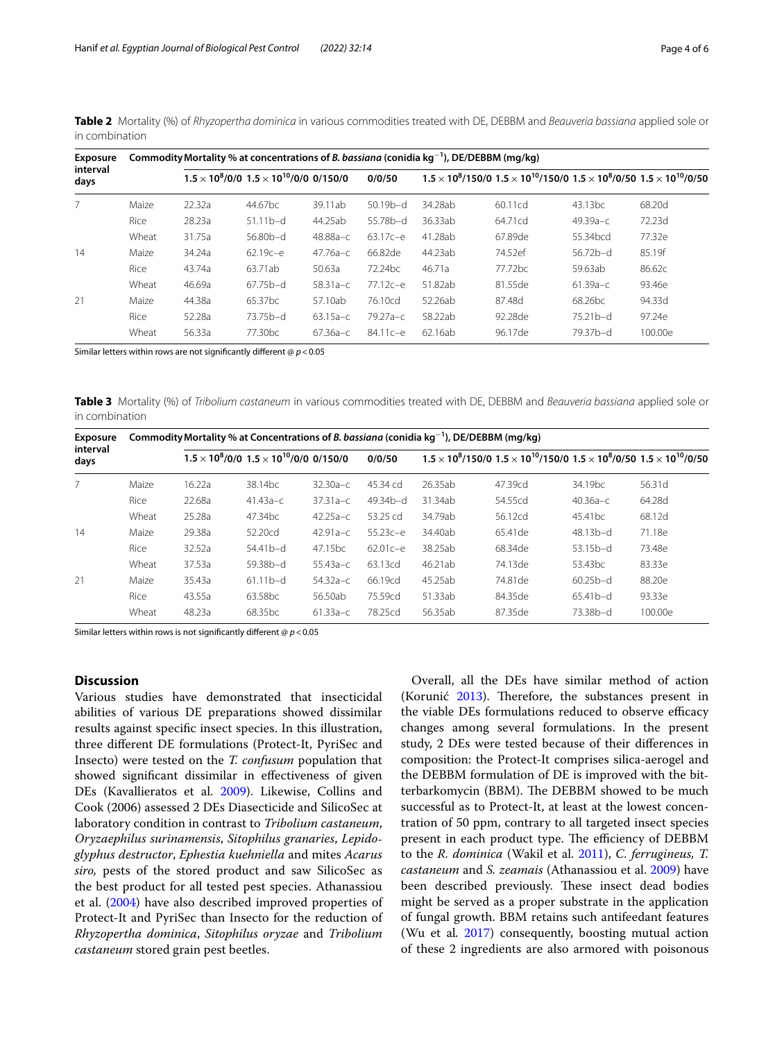| <b>Exposure</b><br>interval<br>days |       | Commodity Mortality % at concentrations of <i>B. bassiana</i> (conidia $kg^{-1}$ ), DE/DEBBM (mg/kg) |                                                                |              |                     |         |                                                                                                     |                      |         |  |
|-------------------------------------|-------|------------------------------------------------------------------------------------------------------|----------------------------------------------------------------|--------------|---------------------|---------|-----------------------------------------------------------------------------------------------------|----------------------|---------|--|
|                                     |       |                                                                                                      | $1.5 \times 10^8 / 0 / 0$ $1.5 \times 10^{10} / 0 / 0$ 0/150/0 |              | 0/0/50              |         | $1.5 \times 10^8/150/0$ $1.5 \times 10^{10}/150/0$ $1.5 \times 10^8/0/50$ $1.5 \times 10^{10}/0/50$ |                      |         |  |
| $\overline{7}$                      | Maize | 22.32a                                                                                               | 44.67bc                                                        | 39.11ab      | $50.19b-d$          | 34.28ab | 60.11cd                                                                                             | 43.13 <sub>bc</sub>  | 68.20d  |  |
|                                     | Rice  | 28.23a                                                                                               | $51.11b-d$                                                     | 44.25ab      | 55.78b-d            | 36.33ab | 64.71cd                                                                                             | $49.39a - c$         | 72.23d  |  |
|                                     | Wheat | 31.75a                                                                                               | $56.80b-d$                                                     | 48.88a-c     | $63.17c - e$        | 41.28ab | 67.89de                                                                                             | 55.34 <sub>bcd</sub> | 77.32e  |  |
| 14                                  | Maize | 34.24a                                                                                               | 62.19с-е                                                       | $47.76a - c$ | 66.82de             | 44.23ab | 74.52ef                                                                                             | 56.72b-d             | 85.19f  |  |
|                                     | Rice  | 43.74a                                                                                               | 63.71ab                                                        | 50.63a       | 72.24 <sub>bc</sub> | 46.71a  | 77.72 <sub>bc</sub>                                                                                 | 59.63ab              | 86.62c  |  |
|                                     | Wheat | 46.69a                                                                                               | $67.75b-d$                                                     | $58.31a-c$   | $77.12c - e$        | 51.82ab | 81.55de                                                                                             | $61.39a - c$         | 93.46e  |  |
| 21                                  | Maize | 44.38a                                                                                               | 65.37bc                                                        | 57.10ab      | 76.10cd             | 52.26ab | 87.48d                                                                                              | 68.26 <sub>bc</sub>  | 94.33d  |  |
|                                     | Rice  | 52.28a                                                                                               | 73.75b-d                                                       | $63.15a - c$ | 79.27а-с            | 58.22ab | 92.28de                                                                                             | $75.21b-d$           | 97.24e  |  |
|                                     | Wheat | 56.33a                                                                                               | 77.30 <sub>bc</sub>                                            | $67.36a - c$ | $84.11c - e$        | 62.16ab | 96.17de                                                                                             | 79.37b-d             | 100.00e |  |

<span id="page-3-0"></span>**Table 2** Mortality (%) of *Rhyzopertha dominica* in various commodities treated with DE, DEBBM and *Beauveria bassiana* applied sole or in combination

Similar letters within rows are not signifcantly diferent @ *p*<0.05

<span id="page-3-1"></span>**Table 3** Mortality (%) of *Tribolium castaneum* in various commodities treated with DE, DEBBM and *Beauveria bassiana* applied sole or in combination

| <b>Exposure</b><br>interval<br>days |       | Commodity Mortality % at Concentrations of B. bassiana (conidia $kg^{-1}$ ), DE/DEBBM (mg/kg) |                                                                |                     |              |         |                                                                                                         |                     |         |  |  |
|-------------------------------------|-------|-----------------------------------------------------------------------------------------------|----------------------------------------------------------------|---------------------|--------------|---------|---------------------------------------------------------------------------------------------------------|---------------------|---------|--|--|
|                                     |       |                                                                                               | $1.5 \times 10^8 / 0 / 0$ $1.5 \times 10^{10} / 0 / 0$ 0/150/0 |                     | 0/0/50       |         | $1.5 \times 10^{8}/150/0$ $1.5 \times 10^{10}/150/0$ $1.5 \times 10^{8}/0/50$ $1.5 \times 10^{10}/0/50$ |                     |         |  |  |
|                                     | Maize | 16.22a                                                                                        | 38.14 <sub>bc</sub>                                            | $32.30a-c$          | 45.34 cd     | 26.35ab | 47.39cd                                                                                                 | 34.19 <sub>bc</sub> | 56.31d  |  |  |
|                                     | Rice  | 22.68a                                                                                        | $41.43a-c$                                                     | $37.31a-c$          | $49.34b-d$   | 31.34ab | 54.55cd                                                                                                 | $40.36a - c$        | 64.28d  |  |  |
|                                     | Wheat | 25.28a                                                                                        | 47.34 <sub>bc</sub>                                            | $42.25a-c$          | 53.25 cd     | 34.79ab | 56.12cd                                                                                                 | 45.41 <sub>bc</sub> | 68.12d  |  |  |
| 14                                  | Maize | 29.38a                                                                                        | 52.20cd                                                        | $42.91a - c$        | $55.23c - e$ | 34.40ab | 65.41 de                                                                                                | $48.13b-d$          | 71.18e  |  |  |
|                                     | Rice  | 32.52a                                                                                        | $54.41b-d$                                                     | 47.15 <sub>bc</sub> | $62.01c - e$ | 38.25ab | 68.34de                                                                                                 | $53.15b-d$          | 73.48e  |  |  |
|                                     | Wheat | 37.53a                                                                                        | 59.38b-d                                                       | $55.43a-c$          | 63.13cd      | 46.21ab | 74.13de                                                                                                 | 53.43 <sub>bc</sub> | 83.33e  |  |  |
| 21                                  | Maize | 35.43a                                                                                        | $61.11b-d$                                                     | $54.32a - c$        | 66.19cd      | 45.25ab | 74.81 de                                                                                                | $60.25b-d$          | 88.20e  |  |  |
|                                     | Rice  | 43.55a                                                                                        | 63.58bc                                                        | 56.50ab             | 75.59cd      | 51.33ab | 84.35de                                                                                                 | $65.41b-d$          | 93.33e  |  |  |
|                                     | Wheat | 48.23a                                                                                        | 68.35 <sub>bc</sub>                                            | $61.33a-c$          | 78.25cd      | 56.35ab | 87.35de                                                                                                 | 73.38b-d            | 100.00e |  |  |

Similar letters within rows is not signifcantly diferent @ *p*<0.05

# **Discussion**

Various studies have demonstrated that insecticidal abilities of various DE preparations showed dissimilar results against specifc insect species. In this illustration, three diferent DE formulations (Protect-It, PyriSec and Insecto) were tested on the *T. confusum* population that showed signifcant dissimilar in efectiveness of given DEs (Kavallieratos et al. [2009](#page-5-18)). Likewise, Collins and Cook (2006) assessed 2 DEs Diasecticide and SilicoSec at laboratory condition in contrast to *Tribolium castaneum*, *Oryzaephilus surinamensis*, *Sitophilus granaries*, *Lepidoglyphus destructor*, *Ephestia kuehniella* and mites *Acarus siro,* pests of the stored product and saw SilicoSec as the best product for all tested pest species. Athanassiou et al. ([2004](#page-4-4)) have also described improved properties of Protect-It and PyriSec than Insecto for the reduction of *Rhyzopertha dominica*, *Sitophilus oryzae* and *Tribolium castaneum* stored grain pest beetles.

Overall, all the DEs have similar method of action (Korunić  $2013$ ). Therefore, the substances present in the viable DEs formulations reduced to observe efficacy changes among several formulations. In the present study, 2 DEs were tested because of their diferences in composition: the Protect-It comprises silica-aerogel and the DEBBM formulation of DE is improved with the bitterbarkomycin (BBM). The DEBBM showed to be much successful as to Protect-It, at least at the lowest concentration of 50 ppm, contrary to all targeted insect species present in each product type. The efficiency of DEBBM to the *R. dominica* (Wakil et al. [2011](#page-5-24)), *C. ferrugineus, T. castaneum* and *S. zeamais* (Athanassiou et al. [2009\)](#page-4-5) have been described previously. These insect dead bodies might be served as a proper substrate in the application of fungal growth. BBM retains such antifeedant features (Wu et al*.* [2017](#page-5-25)) consequently, boosting mutual action of these 2 ingredients are also armored with poisonous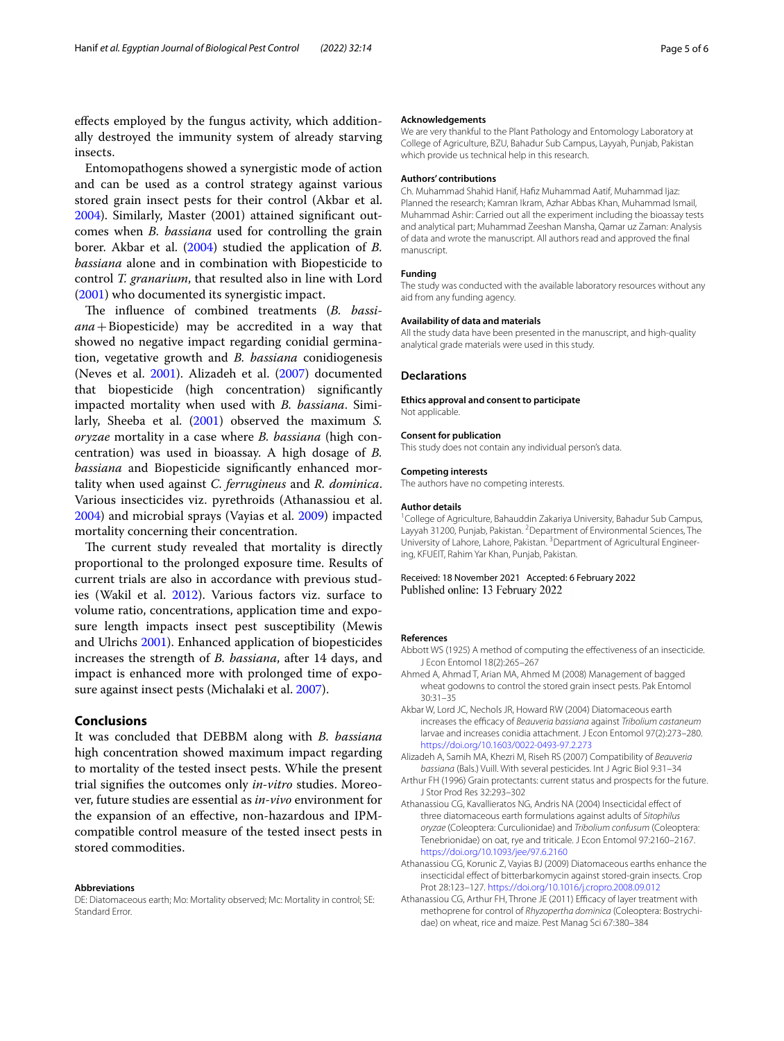efects employed by the fungus activity, which additionally destroyed the immunity system of already starving insects.

Entomopathogens showed a synergistic mode of action and can be used as a control strategy against various stored grain insect pests for their control (Akbar et al. [2004](#page-4-6)). Similarly, Master (2001) attained signifcant outcomes when *B. bassiana* used for controlling the grain borer. Akbar et al. [\(2004](#page-4-6)) studied the application of *B. bassiana* alone and in combination with Biopesticide to control *T. granarium*, that resulted also in line with Lord ([2001\)](#page-5-26) who documented its synergistic impact.

The influence of combined treatments (*B. bassiana*+Biopesticide) may be accredited in a way that showed no negative impact regarding conidial germination, vegetative growth and *B. bassiana* conidiogenesis (Neves et al. [2001\)](#page-5-27). Alizadeh et al. [\(2007\)](#page-4-7) documented that biopesticide (high concentration) signifcantly impacted mortality when used with *B. bassiana*. Similarly, Sheeba et al. ([2001\)](#page-5-28) observed the maximum *S. oryzae* mortality in a case where *B. bassiana* (high concentration) was used in bioassay. A high dosage of *B. bassiana* and Biopesticide signifcantly enhanced mortality when used against *C. ferrugineus* and *R. dominica*. Various insecticides viz. pyrethroids (Athanassiou et al. [2004](#page-4-4)) and microbial sprays (Vayias et al. [2009](#page-5-29)) impacted mortality concerning their concentration.

The current study revealed that mortality is directly proportional to the prolonged exposure time. Results of current trials are also in accordance with previous studies (Wakil et al. [2012\)](#page-5-30). Various factors viz. surface to volume ratio, concentrations, application time and exposure length impacts insect pest susceptibility (Mewis and Ulrichs [2001\)](#page-5-31). Enhanced application of biopesticides increases the strength of *B. bassiana*, after 14 days, and impact is enhanced more with prolonged time of exposure against insect pests (Michalaki et al. [2007\)](#page-5-32).

## **Conclusions**

It was concluded that DEBBM along with *B. bassiana* high concentration showed maximum impact regarding to mortality of the tested insect pests. While the present trial signifes the outcomes only *in-vitro* studies. Moreover, future studies are essential as *in-vivo* environment for the expansion of an efective, non-hazardous and IPMcompatible control measure of the tested insect pests in stored commodities.

#### **Abbreviations**

DE: Diatomaceous earth; Mo: Mortality observed; Mc: Mortality in control; SE: Standard Error.

#### **Acknowledgements**

We are very thankful to the Plant Pathology and Entomology Laboratory at College of Agriculture, BZU, Bahadur Sub Campus, Layyah, Punjab, Pakistan which provide us technical help in this research.

#### **Authors' contributions**

Ch. Muhammad Shahid Hanif, Hafz Muhammad Aatif, Muhammad Ijaz: Planned the research; Kamran Ikram, Azhar Abbas Khan, Muhammad Ismail, Muhammad Ashir: Carried out all the experiment including the bioassay tests and analytical part; Muhammad Zeeshan Mansha, Qamar uz Zaman: Analysis of data and wrote the manuscript. All authors read and approved the fnal manuscript.

## **Funding**

The study was conducted with the available laboratory resources without any aid from any funding agency.

#### **Availability of data and materials**

All the study data have been presented in the manuscript, and high-quality analytical grade materials were used in this study.

## **Declarations**

#### **Ethics approval and consent to participate**

Not applicable.

### **Consent for publication**

This study does not contain any individual person's data.

# **Competing interests**

The authors have no competing interests.

#### **Author details**

<sup>1</sup> College of Agriculture, Bahauddin Zakariya University, Bahadur Sub Campus, Layyah 31200, Punjab, Pakistan. <sup>2</sup> Department of Environmental Sciences, The University of Lahore, Lahore, Pakistan. <sup>3</sup> Department of Agricultural Engineering, KFUEIT, Rahim Yar Khan, Punjab, Pakistan.

## Received: 18 November 2021 Accepted: 6 February 2022 Published online: 13 February 2022

#### **References**

- <span id="page-4-3"></span>Abbott WS (1925) A method of computing the effectiveness of an insecticide. J Econ Entomol 18(2):265–267
- <span id="page-4-1"></span>Ahmed A, Ahmad T, Arian MA, Ahmed M (2008) Management of bagged wheat godowns to control the stored grain insect pests. Pak Entomol 30:31–35
- <span id="page-4-6"></span>Akbar W, Lord JC, Nechols JR, Howard RW (2004) Diatomaceous earth increases the efficacy of *Beauveria bassiana* against *Tribolium castaneum* larvae and increases conidia attachment. J Econ Entomol 97(2):273–280. <https://doi.org/10.1603/0022-0493-97.2.273>

<span id="page-4-7"></span>Alizadeh A, Samih MA, Khezri M, Riseh RS (2007) Compatibility of *Beauveria bassiana* (Bals.) Vuill. With several pesticides. Int J Agric Biol 9:31–34

- <span id="page-4-2"></span>Arthur FH (1996) Grain protectants: current status and prospects for the future. J Stor Prod Res 32:293–302
- <span id="page-4-4"></span>Athanassiou CG, Kavallieratos NG, Andris NA (2004) Insecticidal efect of three diatomaceous earth formulations against adults of *Sitophilus oryzae* (Coleoptera: Curculionidae) and *Tribolium confusum* (Coleoptera: Tenebrionidae) on oat, rye and triticale. J Econ Entomol 97:2160–2167. <https://doi.org/10.1093/jee/97.6.2160>
- <span id="page-4-5"></span>Athanassiou CG, Korunic Z, Vayias BJ (2009) Diatomaceous earths enhance the insecticidal efect of bitterbarkomycin against stored-grain insects. Crop Prot 28:123–127. <https://doi.org/10.1016/j.cropro.2008.09.012>
- <span id="page-4-0"></span>Athanassiou CG, Arthur FH, Throne JE (2011) Efficacy of layer treatment with methoprene for control of *Rhyzopertha dominica* (Coleoptera: Bostrychidae) on wheat, rice and maize. Pest Manag Sci 67:380–384